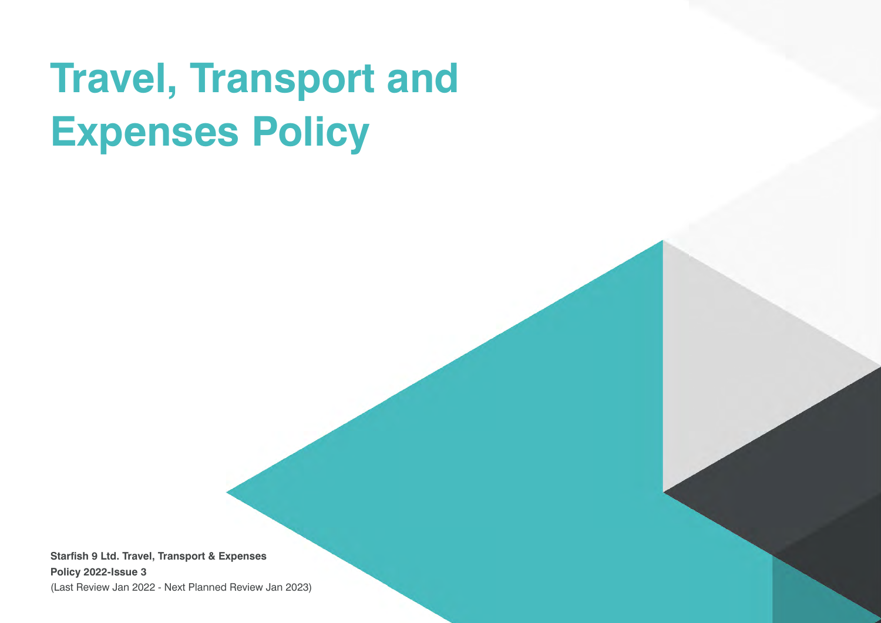# **Travel, Transport and Expenses Policy**

**Starfish 9 Ltd. Travel, Transport & Expenses Policy 2022-Issue 3** (Last Review Jan 2022 - Next Planned Review Jan 2023)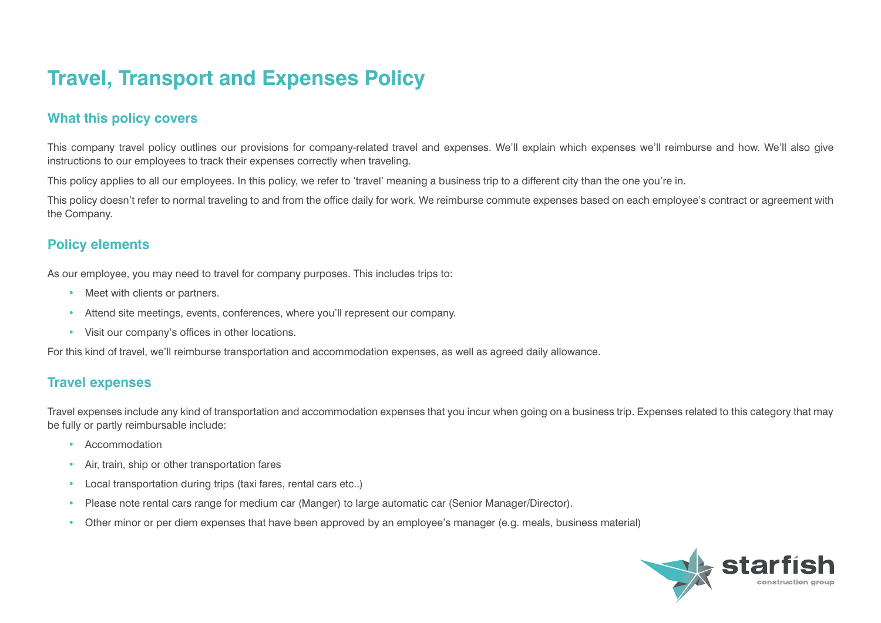## **Travel, Transport and Expenses Policy**

## **What this policy covers**

This company travel policy outlines our provisions for company-related travel and expenses. We'll explain which expenses we'll reimburse and how. We'll also give instructions to our employees to track their expenses correctly when traveling.

This policy applies to all our employees. In this policy, we refer to 'travel' meaning a business trip to a different city than the one you're in.

This policy doesn't refer to normal traveling to and from the office daily for work. We reimburse commute expenses based on each employee's contract or agreement with the Company.

#### **Policy elements**

As our employee, you may need to travel for company purposes. This includes trips to:

- Meet with clients or partners.
- Attend site meetings, events, conferences, where you'll represent our company.
- Visit our company's offices in other locations.

For this kind of travel, we'll reimburse transportation and accommodation expenses, as well as agreed daily allowance.

#### **Travel expenses**

Travel expenses include any kind of transportation and accommodation expenses that you incur when going on a business trip. Expenses related to this category that may be fully or partly reimbursable include:

- Accommodation
- Air, train, ship or other transportation fares
- Local transportation during trips (taxi fares, rental cars etc..)
- Please note rental cars range for medium car (Manger) to large automatic car (Senior Manager/Director).
- Other minor or per diem expenses that have been approved by an employee's manager (e.g. meals, business material)

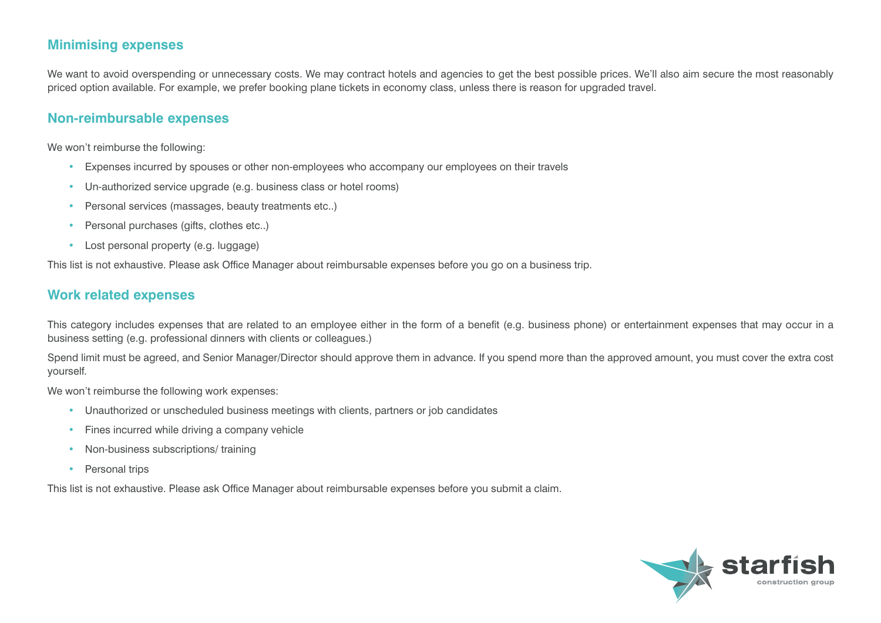#### **Minimising expenses**

We want to avoid overspending or unnecessary costs. We may contract hotels and agencies to get the best possible prices. We'll also aim secure the most reasonably priced option available. For example, we prefer booking plane tickets in economy class, unless there is reason for upgraded travel.

#### **Non-reimbursable expenses**

We won't reimburse the following:

- Expenses incurred by spouses or other non-employees who accompany our employees on their travels
- Un-authorized service upgrade (e.g. business class or hotel rooms)
- Personal services (massages, beauty treatments etc..)
- Personal purchases (gifts, clothes etc..)
- Lost personal property (e.g. luggage)

This list is not exhaustive. Please ask Office Manager about reimbursable expenses before you go on a business trip.

## **Work related expenses**

This category includes expenses that are related to an employee either in the form of a benefit (e.g. business phone) or entertainment expenses that may occur in a business setting (e.g. professional dinners with clients or colleagues.)

Spend limit must be agreed, and Senior Manager/Director should approve them in advance. If you spend more than the approved amount, you must cover the extra cost yourself.

We won't reimburse the following work expenses:

- Unauthorized or unscheduled business meetings with clients, partners or job candidates
- Fines incurred while driving a company vehicle
- Non-business subscriptions/ training
- Personal trips

This list is not exhaustive. Please ask Office Manager about reimbursable expenses before you submit a claim.

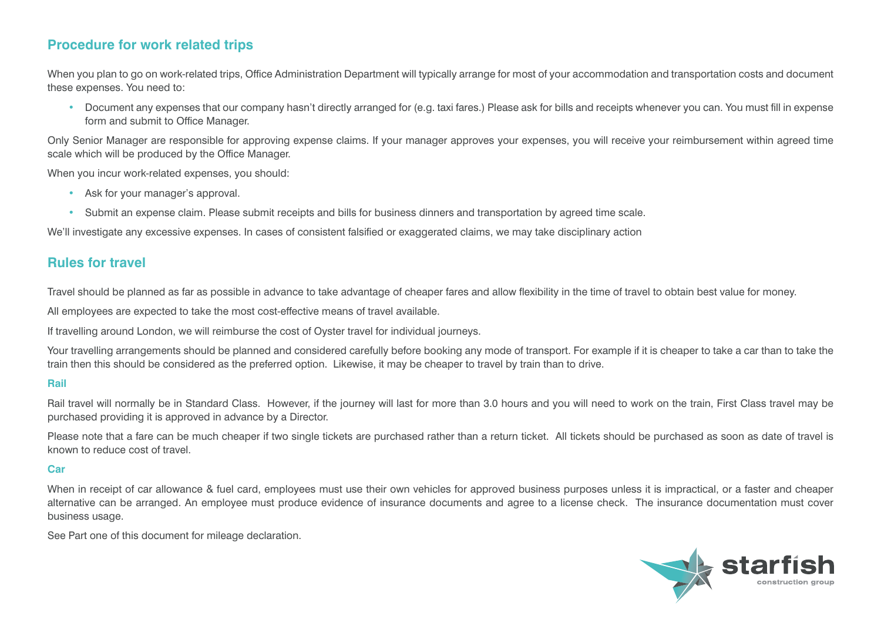## **Procedure for work related trips**

When you plan to go on work-related trips. Office Administration Department will typically arrange for most of your accommodation and transportation costs and document these expenses. You need to:

• Document any expenses that our company hasn't directly arranged for (e.g. taxi fares.) Please ask for bills and receipts whenever you can. You must fill in expense form and submit to Office Manager.

Only Senior Manager are responsible for approving expense claims. If your manager approves your expenses, you will receive your reimbursement within agreed time scale which will be produced by the Office Manager.

When you incur work-related expenses, you should:

- Ask for your manager's approval.
- Submit an expense claim. Please submit receipts and bills for business dinners and transportation by agreed time scale.

We'll investigate any excessive expenses. In cases of consistent falsified or exaggerated claims, we may take disciplinary action

## **Rules for travel**

Travel should be planned as far as possible in advance to take advantage of cheaper fares and allow flexibility in the time of travel to obtain best value for money.

All employees are expected to take the most cost-effective means of travel available.

If travelling around London, we will reimburse the cost of Oyster travel for individual journeys.

Your travelling arrangements should be planned and considered carefully before booking any mode of transport. For example if it is cheaper to take a car than to take the train then this should be considered as the preferred option. Likewise, it may be cheaper to travel by train than to drive.

#### **Rail**

Rail travel will normally be in Standard Class. However, if the journey will last for more than 3.0 hours and you will need to work on the train, First Class travel may be purchased providing it is approved in advance by a Director.

Please note that a fare can be much cheaper if two single tickets are purchased rather than a return ticket. All tickets should be purchased as soon as date of travel is known to reduce cost of travel.

#### **Car**

When in receipt of car allowance & fuel card, employees must use their own vehicles for approved business purposes unless it is impractical, or a faster and cheaper alternative can be arranged. An employee must produce evidence of insurance documents and agree to a license check. The insurance documentation must cover business usage.

See Part one of this document for mileage declaration.

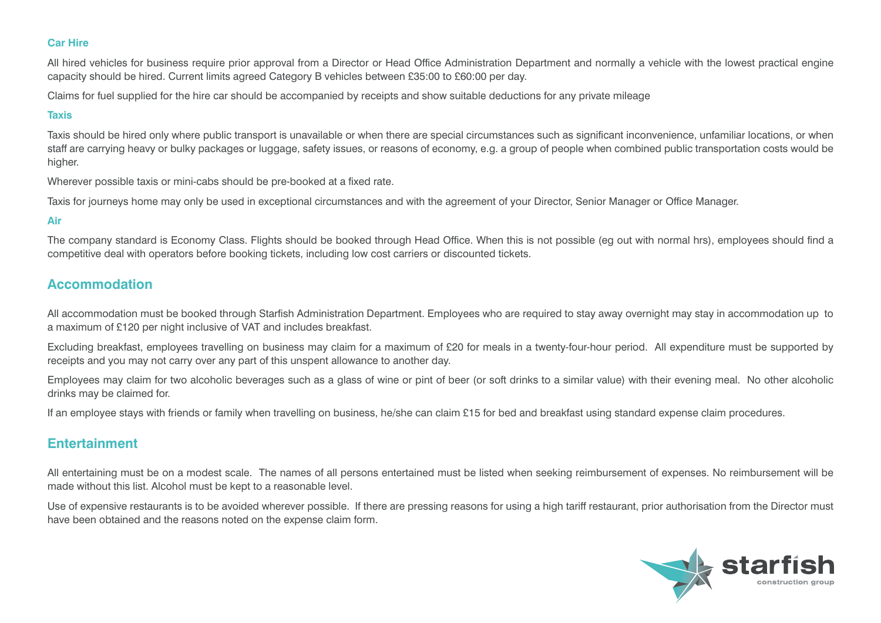#### **Car Hire**

All hired vehicles for business require prior approval from a Director or Head Office Administration Department and normally a vehicle with the lowest practical engine capacity should be hired. Current limits agreed Category B vehicles between £35:00 to £60:00 per day.

Claims for fuel supplied for the hire car should be accompanied by receipts and show suitable deductions for any private mileage

#### **Taxis**

Taxis should be hired only where public transport is unavailable or when there are special circumstances such as significant inconvenience, unfamiliar locations, or when staff are carrying heavy or bulky packages or luggage, safety issues, or reasons of economy, e.g. a group of people when combined public transportation costs would be higher.

Wherever possible taxis or mini-cabs should be pre-booked at a fixed rate.

Taxis for journeys home may only be used in exceptional circumstances and with the agreement of your Director, Senior Manager or Office Manager.

#### **Air**

The company standard is Economy Class. Flights should be booked through Head Office. When this is not possible (eg out with normal hrs), employees should find a competitive deal with operators before booking tickets, including low cost carriers or discounted tickets.

## **Accommodation**

All accommodation must be booked through Starfish Administration Department. Employees who are required to stay away overnight may stay in accommodation up to a maximum of £120 per night inclusive of VAT and includes breakfast.

Excluding breakfast, employees travelling on business may claim for a maximum of £20 for meals in a twenty-four-hour period. All expenditure must be supported by receipts and you may not carry over any part of this unspent allowance to another day.

Employees may claim for two alcoholic beverages such as a glass of wine or pint of beer (or soft drinks to a similar value) with their evening meal. No other alcoholic drinks may be claimed for.

If an employee stays with friends or family when travelling on business, he/she can claim £15 for bed and breakfast using standard expense claim procedures.

#### **Entertainment**

All entertaining must be on a modest scale. The names of all persons entertained must be listed when seeking reimbursement of expenses. No reimbursement will be made without this list. Alcohol must be kept to a reasonable level.

Use of expensive restaurants is to be avoided wherever possible. If there are pressing reasons for using a high tariff restaurant, prior authorisation from the Director must have been obtained and the reasons noted on the expense claim form.